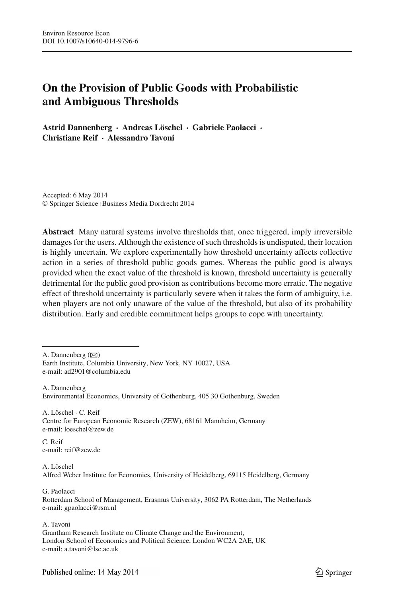# **On the Provision of Public Goods with Probabilistic and Ambiguous Thresholds**

**Astrid Dannenberg · Andreas Löschel · Gabriele Paolacci · Christiane Reif · Alessandro Tavoni**

Accepted: 6 May 2014 © Springer Science+Business Media Dordrecht 2014

**Abstract** Many natural systems involve thresholds that, once triggered, imply irreversible damages for the users. Although the existence of such thresholds is undisputed, their location is highly uncertain. We explore experimentally how threshold uncertainty affects collective action in a series of threshold public goods games. Whereas the public good is always provided when the exact value of the threshold is known, threshold uncertainty is generally detrimental for the public good provision as contributions become more erratic. The negative effect of threshold uncertainty is particularly severe when it takes the form of ambiguity, i.e. when players are not only unaware of the value of the threshold, but also of its probability distribution. Early and credible commitment helps groups to cope with uncertainty.

A. Dannenberg Environmental Economics, University of Gothenburg, 405 30 Gothenburg, Sweden

A. Löschel · C. Reif Centre for European Economic Research (ZEW), 68161 Mannheim, Germany e-mail: loeschel@zew.de

C. Reif e-mail: reif@zew.de

A. Löschel Alfred Weber Institute for Economics, University of Heidelberg, 69115 Heidelberg, Germany

G. Paolacci Rotterdam School of Management, Erasmus University, 3062 PA Rotterdam, The Netherlands e-mail: gpaolacci@rsm.nl

A. Tavoni

A. Dannenberg  $(\boxtimes)$ 

Earth Institute, Columbia University, New York, NY 10027, USA e-mail: ad2901@columbia.edu

Grantham Research Institute on Climate Change and the Environment, London School of Economics and Political Science, London WC2A 2AE, UK e-mail: a.tavoni@lse.ac.uk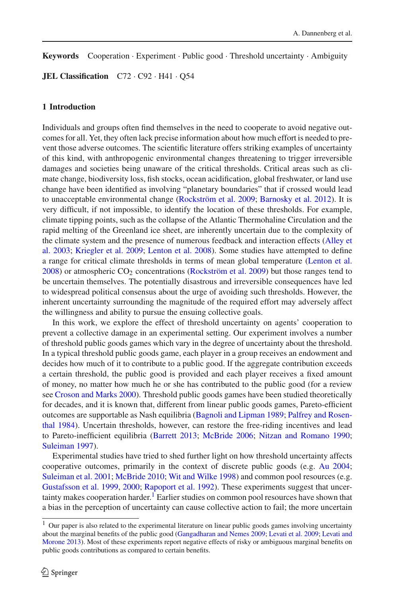**Keywords** Cooperation · Experiment · Public good · Threshold uncertainty · Ambiguity

**JEL Classification** C72 · C92 · H41 · Q54

## **1 Introduction**

Individuals and groups often find themselves in the need to cooperate to avoid negative outcomes for all. Yet, they often lack precise information about how much effort is needed to prevent those adverse outcomes. The scientific literature offers striking examples of uncertainty of this kind, with anthropogenic environmental changes threatening to trigger irreversible damages and societies being unaware of the critical thresholds. Critical areas such as climate change, biodiversity loss, fish stocks, ocean acidification, global freshwater, or land use change have been identified as involving "planetary boundaries" that if crossed would lead to unacceptable environmental change [\(Rockström et al. 2009;](#page-18-0) [Barnosky et al. 2012\)](#page-17-0). It is very difficult, if not impossible, to identify the location of these thresholds. For example, climate tipping points, such as the collapse of the Atlantic Thermohaline Circulation and the rapid melting of the Greenland ice sheet, are inherently uncertain due to the complexity of th[e climate system and the presence of numerous feedback and interaction effects \(](#page-17-1)Alley et al. [2003](#page-17-1); [Kriegler et al. 2009;](#page-18-1) [Lenton et al. 2008](#page-18-2)). Some studies have attempted to define a range for critical climate thresholds in terms of mean global temperature [\(Lenton et al.](#page-18-2)  $2008$ ) or atmospheric  $CO<sub>2</sub>$  concentrations [\(Rockström et al. 2009\)](#page-18-0) but those ranges tend to be uncertain themselves. The potentially disastrous and irreversible consequences have led to widespread political consensus about the urge of avoiding such thresholds. However, the inherent uncertainty surrounding the magnitude of the required effort may adversely affect the willingness and ability to pursue the ensuing collective goals.

In this work, we explore the effect of threshold uncertainty on agents' cooperation to prevent a collective damage in an experimental setting. Our experiment involves a number of threshold public goods games which vary in the degree of uncertainty about the threshold. In a typical threshold public goods game, each player in a group receives an endowment and decides how much of it to contribute to a public good. If the aggregate contribution exceeds a certain threshold, the public good is provided and each player receives a fixed amount of money, no matter how much he or she has contributed to the public good (for a review see [Croson and Marks 2000\)](#page-17-2). Threshold public goods games have been studied theoretically for decades, and it is known that, different from linear public goods games, Pareto-efficient out[comes are supportable as Nash equilibria](#page-18-3) [\(Bagnoli and Lipman 1989;](#page-17-3) Palfrey and Rosenthal [1984\)](#page-18-3). Uncertain thresholds, however, can restore the free-riding incentives and lead to Pareto-inefficient equilibria [\(Barrett 2013;](#page-17-4) [McBride 2006;](#page-18-4) [Nitzan and Romano 1990](#page-18-5); [Suleiman 1997](#page-18-6)).

Experimental studies have tried to shed further light on how threshold uncertainty affects cooperative outcomes, primarily in the context of discrete public goods (e.g. [Au 2004](#page-17-5); [Suleiman et al. 2001](#page-18-7); [McBride 2010](#page-18-8); [Wit and Wilke 1998](#page-18-9)) and common pool resources (e.g. [Gustafsson et al. 1999](#page-17-6), [2000;](#page-17-7) [Rapoport et al. 1992](#page-18-10)). These experiments suggest that uncertainty makes cooperation harder.<sup>1</sup> Earlier studies on common pool resources have shown that a bias in the perception of uncertainty can cause collective action to fail; the more uncertain

<span id="page-1-0"></span><sup>&</sup>lt;sup>1</sup> Our paper is also related to the experimental literature on linear public goods games involving uncertainty about t[he marginal benefits of the public good](#page-18-12) [\(Gangadharan and Nemes 2009](#page-17-8)[;](#page-18-12) [Levati et al. 2009](#page-18-11); Levati and Morone [2013](#page-18-12)). Most of these experiments report negative effects of risky or ambiguous marginal benefits on public goods contributions as compared to certain benefits.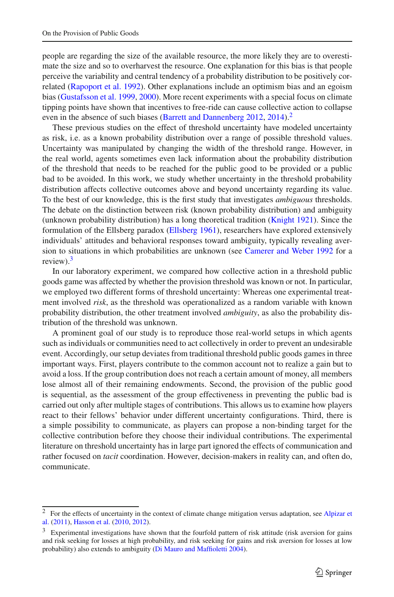people are regarding the size of the available resource, the more likely they are to overestimate the size and so to overharvest the resource. One explanation for this bias is that people perceive the variability and central tendency of a probability distribution to be positively correlated [\(Rapoport et al. 1992\)](#page-18-10). Other explanations include an optimism bias and an egoism bias [\(Gustafsson et al. 1999,](#page-17-6) [2000](#page-17-7)). More recent experiments with a special focus on climate tipping points have shown that incentives to free-ride can cause collective action to collapse even in the absence of such biases [\(Barrett and Dannenberg 2012,](#page-17-9) [2014](#page-17-10)).<sup>[2](#page-2-0)</sup>

These previous studies on the effect of threshold uncertainty have modeled uncertainty as risk, i.e. as a known probability distribution over a range of possible threshold values. Uncertainty was manipulated by changing the width of the threshold range. However, in the real world, agents sometimes even lack information about the probability distribution of the threshold that needs to be reached for the public good to be provided or a public bad to be avoided. In this work, we study whether uncertainty in the threshold probability distribution affects collective outcomes above and beyond uncertainty regarding its value. To the best of our knowledge, this is the first study that investigates *ambiguous* thresholds. The debate on the distinction between risk (known probability distribution) and ambiguity (unknown probability distribution) has a long theoretical tradition [\(Knight 1921\)](#page-18-13). Since the formulation of the Ellsberg paradox [\(Ellsberg 1961\)](#page-17-11), researchers have explored extensively individuals' attitudes and behavioral responses toward ambiguity, typically revealing aversion to situations in which probabilities are unknown (see [Camerer and Weber 1992](#page-17-12) for a review). $3$ 

In our laboratory experiment, we compared how collective action in a threshold public goods game was affected by whether the provision threshold was known or not. In particular, we employed two different forms of threshold uncertainty: Whereas one experimental treatment involved *risk*, as the threshold was operationalized as a random variable with known probability distribution, the other treatment involved *ambiguity*, as also the probability distribution of the threshold was unknown.

A prominent goal of our study is to reproduce those real-world setups in which agents such as individuals or communities need to act collectively in order to prevent an undesirable event. Accordingly, our setup deviates from traditional threshold public goods games in three important ways. First, players contribute to the common account not to realize a gain but to avoid a loss. If the group contribution does not reach a certain amount of money, all members lose almost all of their remaining endowments. Second, the provision of the public good is sequential, as the assessment of the group effectiveness in preventing the public bad is carried out only after multiple stages of contributions. This allows us to examine how players react to their fellows' behavior under different uncertainty configurations. Third, there is a simple possibility to communicate, as players can propose a non-binding target for the collective contribution before they choose their individual contributions. The experimental literature on threshold uncertainty has in large part ignored the effects of communication and rather focused on *tacit* coordination. However, decision-makers in reality can, and often do, communicate.

<span id="page-2-0"></span><sup>&</sup>lt;sup>2</sup> [For](#page-17-13) [the](#page-17-13) [effects](#page-17-13) [of](#page-17-13) [uncertainty](#page-17-13) [in](#page-17-13) the [context](#page-17-13) of [climate](#page-17-13) [change](#page-17-13) [mitigation](#page-17-13) [versus](#page-17-13) [adaptation,](#page-17-13) [see](#page-17-13) Alpizar et al. [\(2011\)](#page-17-13), [Hasson et al.](#page-17-14) [\(2010,](#page-17-14) [2012\)](#page-17-15).

<span id="page-2-1"></span><sup>&</sup>lt;sup>3</sup> Experimental investigations have shown that the fourfold pattern of risk attitude (risk aversion for gains and risk seeking for losses at high probability, and risk seeking for gains and risk aversion for losses at low probability) also extends to ambiguity [\(Di Mauro and Maffioletti 2004\)](#page-17-16).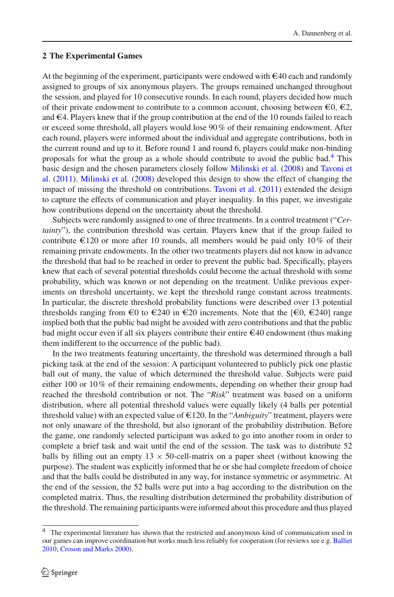#### **2 The Experimental Games**

At the beginning of the experiment, participants were endowed with  $\epsilon$ 40 each and randomly assigned to groups of six anonymous players. The groups remained unchanged throughout the session, and played for 10 consecutive rounds. In each round, players decided how much of their private endowment to contribute to a common account, choosing between  $\epsilon_0$ ,  $\epsilon_2$ , and  $\in$ 4. Players knew that if the group contribution at the end of the 10 rounds failed to reach or exceed some threshold, all players would lose 90 % of their remaining endowment. After each round, players were informed about the individual and aggregate contributions, both in the current round and up to it. Before round 1 and round 6, players could make non-binding proposals for what the group as a whole should contribute to avoid the public bad.[4](#page-3-0) This b[asic design and the chosen parameters closely follow](#page-18-15) [Milinski et al.](#page-18-14) [\(2008\)](#page-18-14) and Tavoni et al. [\(2011](#page-18-15)). [Milinski et al.](#page-18-14) [\(2008](#page-18-14)) developed this design to show the effect of changing the impact of missing the threshold on contributions. [Tavoni et al.](#page-18-15) [\(2011](#page-18-15)) extended the design to capture the effects of communication and player inequality. In this paper, we investigate how contributions depend on the uncertainty about the threshold.

Subjects were randomly assigned to one of three treatments. In a control treatment ("*Certainty*"), the contribution threshold was certain. Players knew that if the group failed to contribute  $\epsilon$ 120 or more after 10 rounds, all members would be paid only 10% of their remaining private endowments. In the other two treatments players did not know in advance the threshold that had to be reached in order to prevent the public bad. Specifically, players knew that each of several potential thresholds could become the actual threshold with some probability, which was known or not depending on the treatment. Unlike previous experiments on threshold uncertainty, we kept the threshold range constant across treatments. In particular, the discrete threshold probability functions were described over 13 potential thresholds ranging from  $\epsilon$ 0 to  $\epsilon$ 240 in  $\epsilon$ 20 increments. Note that the [ $\epsilon$ 0,  $\epsilon$ 240] range implied both that the public bad might be avoided with zero contributions and that the public bad might occur even if all six players contribute their entire  $\epsilon$ 40 endowment (thus making them indifferent to the occurrence of the public bad).

In the two treatments featuring uncertainty, the threshold was determined through a ball picking task at the end of the session: A participant volunteered to publicly pick one plastic ball out of many, the value of which determined the threshold value. Subjects were paid either 100 or 10 % of their remaining endowments, depending on whether their group had reached the threshold contribution or not. The "*Risk*" treatment was based on a uniform distribution, where all potential threshold values were equally likely (4 balls per potential threshold value) with an expected value of  $\epsilon$  120. In the "*Ambiguity*" treatment, players were not only unaware of the threshold, but also ignorant of the probability distribution. Before the game, one randomly selected participant was asked to go into another room in order to complete a brief task and wait until the end of the session. The task was to distribute 52 balls by filling out an empty  $13 \times 50$ -cell-matrix on a paper sheet (without knowing the purpose). The student was explicitly informed that he or she had complete freedom of choice and that the balls could be distributed in any way, for instance symmetric or asymmetric. At the end of the session, the 52 balls were put into a bag according to the distribution on the completed matrix. Thus, the resulting distribution determined the probability distribution of the threshold. The remaining participants were informed about this procedure and thus played

<span id="page-3-0"></span><sup>4</sup> The experimental literature has shown that the restricted and anonymous kind of communication used in our games can improve coordination but works much less reliably for cooperation (for reviews see e.g. [Balliet](#page-17-17) [2010](#page-17-17); [Croson and Marks 2000](#page-17-2)).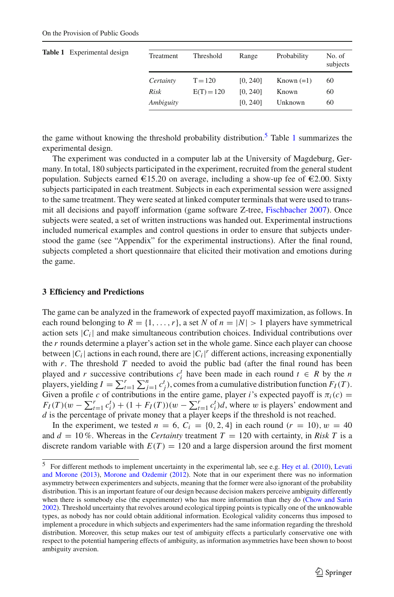<span id="page-4-1"></span>

| <b>Table 1</b> Experimental design | Treatment         | Threshold                 | Range                | Probability           | No. of<br>subjects |
|------------------------------------|-------------------|---------------------------|----------------------|-----------------------|--------------------|
|                                    | Certainty<br>Risk | $T = 120$<br>$E(T) = 120$ | [0, 240]<br>[0, 240] | Known $(=1)$<br>Known | 60<br>60           |
|                                    | Ambiguity         |                           | [0, 240]             | Unknown               | 60                 |

the game without knowing the threshold probability distribution.<sup>5</sup> Table [1](#page-4-1) summarizes the experimental design.

The experiment was conducted in a computer lab at the University of Magdeburg, Germany. In total, 180 subjects participated in the experiment, recruited from the general student population. Subjects earned  $\epsilon$ 15.20 on average, including a show-up fee of  $\epsilon$ 2.00. Sixty subjects participated in each treatment. Subjects in each experimental session were assigned to the same treatment. They were seated at linked computer terminals that were used to transmit all decisions and payoff information (game software Z-tree, [Fischbacher 2007](#page-17-18)). Once subjects were seated, a set of written instructions was handed out. Experimental instructions included numerical examples and control questions in order to ensure that subjects understood the game (see "Appendix" for the experimental instructions). After the final round, subjects completed a short questionnaire that elicited their motivation and emotions during the game.

#### **3 Efficiency and Predictions**

The game can be analyzed in the framework of expected payoff maximization, as follows. In each round belonging to  $R = \{1, \ldots, r\}$ , a set N of  $n = |N| > 1$  players have symmetrical action sets  $|C_i|$  and make simultaneous contribution choices. Individual contributions over the *r* rounds determine a player's action set in the whole game. Since each player can choose between  $|C_i|$  actions in each round, there are  $|C_i|^r$  different actions, increasing exponentially with *r*. The threshold *T* needed to avoid the public bad (after the final round has been played and *r* successive contributions  $c_i^t$  have been made in each round  $t \in R$  by the *n* players, yielding  $I = \sum_{t=1}^{r} \sum_{j=1}^{n} c_j^t$ , comes from a cumulative distribution function  $F_I(T)$ . Given a profile *c* of contributions in the entire game, player *i*'s expected payoff is  $\pi_i(c)$  =  $F_I(T)(w - \sum_{t=1}^r c_i^t) + (1 + F_I(T))(w - \sum_{t=1}^r c_i^t)d$ , where w is players' endowment and *d* is the percentage of private money that a player keeps if the threshold is not reached.

In the experiment, we tested  $n = 6$ ,  $C_i = \{0, 2, 4\}$  in each round  $(r = 10)$ ,  $w = 40$ and  $d = 10\%$ . Whereas in the *Certainty* treatment  $T = 120$  with certainty, in *Risk T* is a discrete random variable with  $E(T) = 120$  and a large dispersion around the first moment

<span id="page-4-0"></span><sup>&</sup>lt;sup>5</sup> For differ[ent methods to implement uncertainty in the experimental lab, see e.g.](#page-18-12) [Hey et al.](#page-17-19) [\(2010](#page-17-19)), Levati and Morone [\(2013](#page-18-12)), [Morone and Ozdemir](#page-18-16) [\(2012](#page-18-16)). Note that in our experiment there was no information asymmetry between experimenters and subjects, meaning that the former were also ignorant of the probability distribution. This is an important feature of our design because decision makers perceive ambiguity differently when there is somebody else (the experimenter) who has more information than they do [\(Chow and Sarin](#page-17-20) [2002](#page-17-20)). Threshold uncertainty that revolves around ecological tipping points is typically one of the unknowable types, as nobody has nor could obtain additional information. Ecological validity concerns thus imposed to implement a procedure in which subjects and experimenters had the same information regarding the threshold distribution. Moreover, this setup makes our test of ambiguity effects a particularly conservative one with respect to the potential hampering effects of ambiguity, as information asymmetries have been shown to boost ambiguity aversion.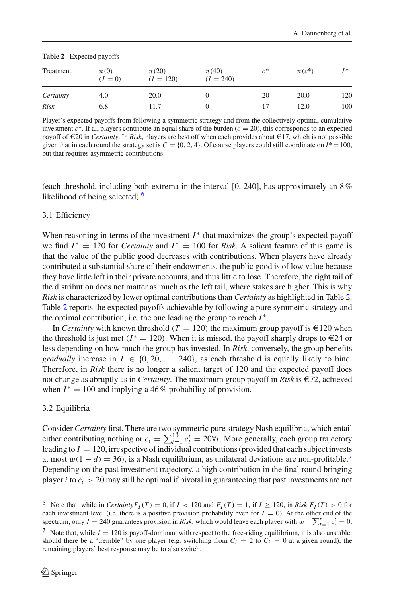<span id="page-5-1"></span>

| <b>Table 2</b> Expected payoffs |                       |                          |                          |       |            |     |  |  |
|---------------------------------|-----------------------|--------------------------|--------------------------|-------|------------|-----|--|--|
| Treatment                       | $\pi(0)$<br>$(I = 0)$ | $\pi(20)$<br>$(I = 120)$ | $\pi(40)$<br>$(I = 240)$ | $c^*$ | $\pi(c^*)$ | I*. |  |  |
| Certainty                       | 4.0                   | 20.0                     |                          | 20    | 20.0       | 120 |  |  |
| Risk                            | 6.8                   | 11.7                     |                          | 17    | 12.0       | 100 |  |  |

Player's expected payoffs from following a symmetric strategy and from the collectively optimal cumulative investment *c*\*. If all players contribute an equal share of the burden (*c* = 20), this corresponds to an expected payoff of  $\epsilon$ 20 in *Certainty*. In *Risk*, players are best off when each provides about  $\epsilon$ 17, which is not possible given that in each round the strategy set is  $C = \{0, 2, 4\}$ . Of course players could still coordinate on  $I^* = 100$ , but that requires asymmetric contributions

(each threshold, including both extrema in the interval  $[0, 240]$ , has approximately an  $8\%$ likelihood of being selected).<sup>6</sup>

#### 3.1 Efficiency

When reasoning in terms of the investment  $I^*$  that maximizes the group's expected payoff we find  $I^* = 120$  for *Certainty* and  $I^* = 100$  for *Risk*. A salient feature of this game is that the value of the public good decreases with contributions. When players have already contributed a substantial share of their endowments, the public good is of low value because they have little left in their private accounts, and thus little to lose. Therefore, the right tail of the distribution does not matter as much as the left tail, where stakes are higher. This is why *Risk* is characterized by lower optimal contributions than *Certainty* as highlighted in Table [2.](#page-5-1) Table [2](#page-5-1) reports the expected payoffs achievable by following a pure symmetric strategy and the optimal contribution, i.e. the one leading the group to reach *I* <sup>∗</sup>.

In *Certainty* with known threshold  $(T = 120)$  the maximum group payoff is  $\epsilon$ 120 when the threshold is just met ( $I^* = 120$ ). When it is missed, the payoff sharply drops to  $\epsilon 24$  or less depending on how much the group has invested. In *Risk*, conversely, the group benefits *gradually* increase in  $I \in \{0, 20, ..., 240\}$ , as each threshold is equally likely to bind. Therefore, in *Risk* there is no longer a salient target of 120 and the expected payoff does not change as abruptly as in *Certainty*. The maximum group payoff in *Risk* is  $\epsilon$ 72, achieved when  $I^* = 100$  and implying a 46% probability of provision.

#### 3.2 Equilibria

Consider *Certainty* first. There are two symmetric pure strategy Nash equilibria, which entail either contributing nothing or  $c_i = \sum_{i=1}^{10} c_i^t = 20 \forall i$ . More generally, each group trajectory leading to  $I = 120$ , irrespective of individual contributions (provided that each subject invests at most  $w(1 - d) = 36$ , is a Nash equilibrium, as unilateral deviations are non-profitable.<sup>7</sup> Depending on the past investment trajectory, a high contribution in the final round bringing player *i* to  $c_i > 20$  may still be optimal if pivotal in guaranteeing that past investments are not

<span id="page-5-0"></span><sup>&</sup>lt;sup>6</sup> Note that, while in *Certainty*  $F_I(T) = 0$ , if  $I < 120$  and  $F_I(T) = 1$ , if  $I \ge 120$ , in *Risk F<sub>I</sub>*(*T*) > 0 for each investment level (i.e. there is a positive provision probability even for  $I = 0$ ). At the other end of the spectrum, only *I* = 240 guarantees provision in *Risk*, which would leave each player with  $w - \sum_{t=1}^{r} c_i^t = 0$ .

<span id="page-5-2"></span><sup>&</sup>lt;sup>7</sup> Note that, while  $I = 120$  is payoff-dominant with respect to the free-riding equilibrium, it is also unstable: should there be a "tremble" by one player (e.g. switching from  $C_i = 2$  to  $C_i = 0$  at a given round), the remaining players' best response may be to also switch.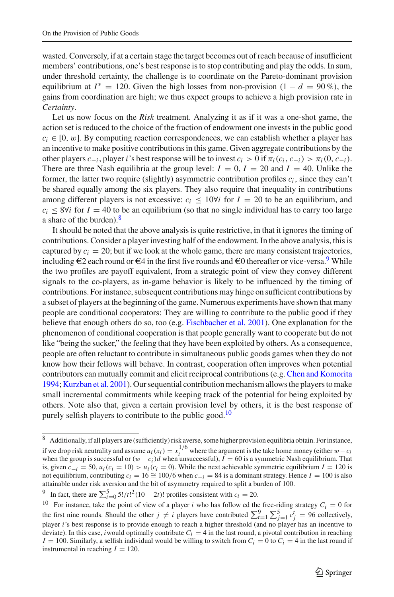wasted. Conversely, if at a certain stage the target becomes out of reach because of insufficient members' contributions, one's best response is to stop contributing and play the odds. In sum, under threshold certainty, the challenge is to coordinate on the Pareto-dominant provision equilibrium at  $I^* = 120$ . Given the high losses from non-provision  $(1 - d = 90\%)$ , the gains from coordination are high; we thus expect groups to achieve a high provision rate in *Certainty*.

Let us now focus on the *Risk* treatment. Analyzing it as if it was a one-shot game, the action set is reduced to the choice of the fraction of endowment one invests in the public good  $c_i \in [0, w]$ . By computing reaction correspondences, we can establish whether a player has an incentive to make positive contributions in this game. Given aggregate contributions by the other players  $c_{-i}$ , player *i*'s best response will be to invest  $c_i > 0$  if  $\pi_i(c_i, c_{-i}) > \pi_i(0, c_{-i})$ . There are three Nash equilibria at the group level:  $I = 0$ ,  $I = 20$  and  $I = 40$ . Unlike the former, the latter two require (slightly) asymmetric contribution profiles  $c_i$ , since they can't be shared equally among the six players. They also require that inequality in contributions among different players is not excessive:  $c_i \leq 10\forall i$  for  $I = 20$  to be an equilibrium, and  $c_i \leq 8\forall i$  for  $I = 40$  to be an equilibrium (so that no single individual has to carry too large a share of the burden).<sup>[8](#page-6-0)</sup>

It should be noted that the above analysis is quite restrictive, in that it ignores the timing of contributions. Consider a player investing half of the endowment. In the above analysis, this is captured by  $c_i = 20$ ; but if we look at the whole game, there are many consistent trajectories, including  $\epsilon$ 2 each round or  $\epsilon$ 4 in the first five rounds and  $\epsilon$ 0 thereafter or vice-versa.<sup>9</sup> While the two profiles are payoff equivalent, from a strategic point of view they convey different signals to the co-players, as in-game behavior is likely to be influenced by the timing of contributions. For instance, subsequent contributions may hinge on sufficient contributions by a subset of players at the beginning of the game. Numerous experiments have shown that many people are conditional cooperators: They are willing to contribute to the public good if they believe that enough others do so, too (e.g. [Fischbacher et al. 2001\)](#page-17-21). One explanation for the phenomenon of conditional cooperation is that people generally want to cooperate but do not like "being the sucker," the feeling that they have been exploited by others. As a consequence, people are often reluctant to contribute in simultaneous public goods games when they do not know how their fellows will behave. In contrast, cooperation often improves when potential contributors can mutually commit and elicit reciprocal contributions (e.g. [Chen and Komorita](#page-17-22) [1994](#page-17-22); [Kurzban et al. 2001\)](#page-18-17). Our sequential contribution mechanism allows the players to make small incremental commitments while keeping track of the potential for being exploited by others. Note also that, given a certain provision level by others, it is the best response of purely selfish players to contribute to the public good.<sup>10</sup>

<span id="page-6-0"></span><sup>8</sup> Additionally, if all players are (sufficiently) risk averse, some higher provision equilibria obtain. For instance, if we drop risk neutrality and assume  $u_i(x_i) = x_i^{1/6}$  where the argument is the take home money (either  $w - c_i$ when the group is successful or  $(w - c_i)d$  when unsuccessful),  $\tilde{I} = 60$  is a symmetric Nash equilibrium. That is, given  $c_{-i} = 50$ ,  $u_i(c_i = 10) > u_i(c_i = 0)$ . While the next achievable symmetric equilibrium  $I = 120$  is not equilibrium, contributing  $c_i = 16 \approx 100/6$  when  $c_{-i} = 84$  is a dominant strategy. Hence  $I = 100$  is also attainable under risk aversion and the bit of asymmetry required to split a burden of 100.

<sup>&</sup>lt;sup>9</sup> In fact, there are  $\sum_{t=0}^{5} \frac{5!}{t!^2 (10 - 2t)!}$  profiles consistent with  $c_i = 20$ .

<span id="page-6-2"></span><span id="page-6-1"></span><sup>&</sup>lt;sup>10</sup> For instance, take the point of view of a player *i* who has follow ed the free-riding strategy  $C_i = 0$  for the first nine rounds. Should the other  $j \neq i$  players have contributed  $\sum_{t=1}^{9} \sum_{j=1}^{5} c_j^t = 96$  collectively, player *i*'s best response is to provide enough to reach a higher threshold (and no player has an incentive to deviate). In this case, *i* would optimally contribute  $C_i = 4$  in the last round, a pivotal contribution in reaching  $I = 100$ . Similarly, a selfish individual would be willing to switch from  $C_i = 0$  to  $C_i = 4$  in the last round if instrumental in reaching  $I = 120$ .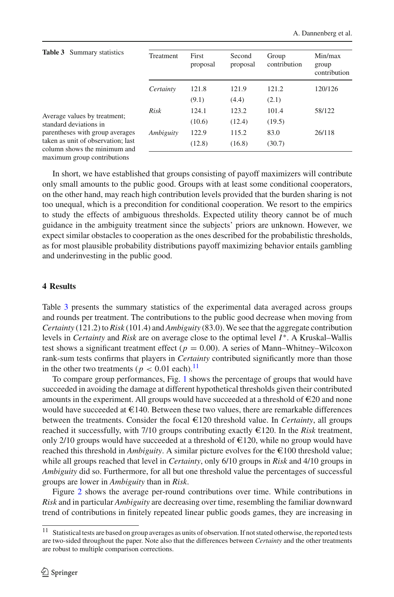<span id="page-7-0"></span>

| <b>Table 3</b> Summary statistics                                                                 | <b>Treatment</b> | First<br>proposal | Second<br>proposal | Group<br>contribution | Min/max<br>group<br>contribution |
|---------------------------------------------------------------------------------------------------|------------------|-------------------|--------------------|-----------------------|----------------------------------|
|                                                                                                   | Certainty        | 121.8             | 121.9              | 121.2                 | 120/126                          |
|                                                                                                   |                  | (9.1)             | (4.4)              | (2.1)                 |                                  |
|                                                                                                   | Risk             | 124.1             | 123.2              | 101.4                 | 58/122                           |
| Average values by treatment;<br>standard deviations in                                            |                  | (10.6)            | (12.4)             | (19.5)                |                                  |
| parentheses with group averages                                                                   | Ambiguity        | 122.9             | 115.2              | 83.0                  | 26/118                           |
| taken as unit of observation: last<br>column shows the minimum and<br>maximum group contributions |                  | (12.8)            | (16.8)             | (30.7)                |                                  |

In short, we have established that groups consisting of payoff maximizers will contribute only small amounts to the public good. Groups with at least some conditional cooperators, on the other hand, may reach high contribution levels provided that the burden sharing is not too unequal, which is a precondition for conditional cooperation. We resort to the empirics to study the effects of ambiguous thresholds. Expected utility theory cannot be of much guidance in the ambiguity treatment since the subjects' priors are unknown. However, we expect similar obstacles to cooperation as the ones described for the probabilistic thresholds, as for most plausible probability distributions payoff maximizing behavior entails gambling and underinvesting in the public good.

## **4 Results**

Table [3](#page-7-0) presents the summary statistics of the experimental data averaged across groups and rounds per treatment. The contributions to the public good decrease when moving from *Certainty* (121.2) to *Risk* (101.4) and *Ambiguity* (83.0). We see that the aggregate contribution levels in *Certainty* and *Risk* are on average close to the optimal level *I* <sup>∗</sup>. A Kruskal–Wallis test shows a significant treatment effect ( $p = 0.00$ ). A series of Mann–Whitney–Wilcoxon rank-sum tests confirms that players in *Certainty* contributed significantly more than those in the other two treatments ( $p < 0.01$  each).<sup>[11](#page-7-1)</sup>

To compare group performances, Fig. [1](#page-8-0) shows the percentage of groups that would have succeeded in avoiding the damage at different hypothetical thresholds given their contributed amounts in the experiment. All groups would have succeeded at a threshold of  $\epsilon$ 20 and none would have succeeded at  $\epsilon$ 140. Between these two values, there are remarkable differences between the treatments. Consider the focal  $\epsilon$ 120 threshold value. In *Certainty*, all groups reached it successfully, with 7/10 groups contributing exactly  $\in$  120. In the *Risk* treatment, only 2/10 groups would have succeeded at a threshold of  $\epsilon$ 120, while no group would have reached this threshold in *Ambiguity*. A similar picture evolves for the  $\epsilon$ 100 threshold value; while all groups reached that level in *Certainty*, only 6/10 groups in *Risk* and 4/10 groups in *Ambiguity* did so. Furthermore, for all but one threshold value the percentages of successful groups are lower in *Ambiguity* than in *Risk*.

Figure [2](#page-8-1) shows the average per-round contributions over time. While contributions in *Risk* and in particular *Ambiguity* are decreasing over time, resembling the familiar downward trend of contributions in finitely repeated linear public goods games, they are increasing in

<span id="page-7-1"></span><sup>&</sup>lt;sup>11</sup> Statistical tests are based on group averages as units of observation. If not stated otherwise, the reported tests are two-sided throughout the paper. Note also that the differences between *Certainty* and the other treatments are robust to multiple comparison corrections.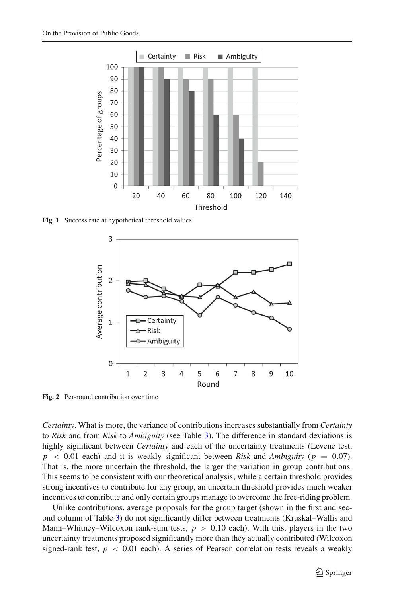

<span id="page-8-0"></span>**Fig. 1** Success rate at hypothetical threshold values



<span id="page-8-1"></span>**Fig. 2** Per-round contribution over time

*Certainty*. What is more, the variance of contributions increases substantially from *Certainty* to *Risk* and from *Risk* to *Ambiguity* (see Table [3\)](#page-7-0). The difference in standard deviations is highly significant between *Certainty* and each of the uncertainty treatments (Levene test,  $p \lt 0.01$  each) and it is weakly significant between *Risk* and *Ambiguity* ( $p = 0.07$ ). That is, the more uncertain the threshold, the larger the variation in group contributions. This seems to be consistent with our theoretical analysis; while a certain threshold provides strong incentives to contribute for any group, an uncertain threshold provides much weaker incentives to contribute and only certain groups manage to overcome the free-riding problem.

Unlike contributions, average proposals for the group target (shown in the first and second column of Table [3\)](#page-7-0) do not significantly differ between treatments (Kruskal–Wallis and Mann–Whitney–Wilcoxon rank-sum tests,  $p > 0.10$  each). With this, players in the two uncertainty treatments proposed significantly more than they actually contributed (Wilcoxon signed-rank test,  $p < 0.01$  each). A series of Pearson correlation tests reveals a weakly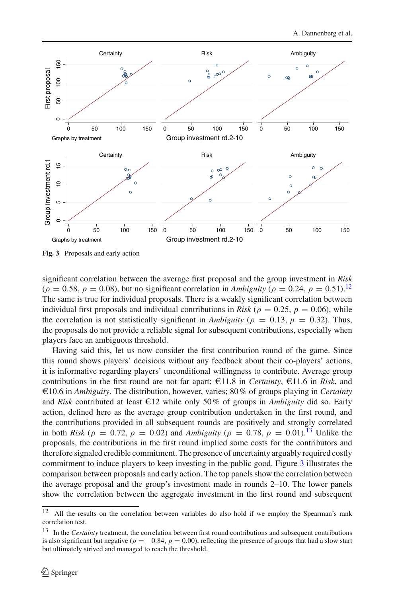

<span id="page-9-2"></span>**Fig. 3** Proposals and early action

significant correlation between the average first proposal and the group investment in *Risk*  $(\rho = 0.58, p = 0.08)$ , but no significant correlation in *Ambiguity* ( $\rho = 0.24, p = 0.51$ ).<sup>[12](#page-9-0)</sup> The same is true for individual proposals. There is a weakly significant correlation between individual first proposals and individual contributions in *Risk* ( $\rho = 0.25$ ,  $p = 0.06$ ), while the correlation is not statistically significant in *Ambiguity* ( $\rho = 0.13$ ,  $p = 0.32$ ). Thus, the proposals do not provide a reliable signal for subsequent contributions, especially when players face an ambiguous threshold.

Having said this, let us now consider the first contribution round of the game. Since this round shows players' decisions without any feedback about their co-players' actions, it is informative regarding players' unconditional willingness to contribute. Average group contributions in the first round are not far apart;  $\epsilon$ 11.8 in *Certainty*,  $\epsilon$ 11.6 in *Risk*, and  $\epsilon$ 10.6 in *Ambiguity*. The distribution, however, varies; 80% of groups playing in *Certainty* and *Risk* contributed at least  $\epsilon$ 12 while only 50% of groups in *Ambiguity* did so. Early action, defined here as the average group contribution undertaken in the first round, and the contributions provided in all subsequent rounds are positively and strongly correlated in both *Risk* ( $\rho = 0.72$ ,  $p = 0.02$ ) and *Ambiguity* ( $\rho = 0.78$ ,  $p = 0.01$ ).<sup>[13](#page-9-1)</sup> Unlike the proposals, the contributions in the first round implied some costs for the contributors and therefore signaled credible commitment. The presence of uncertainty arguably required costly commitment to induce players to keep investing in the public good. Figure [3](#page-9-2) illustrates the comparison between proposals and early action. The top panels show the correlation between the average proposal and the group's investment made in rounds 2–10. The lower panels show the correlation between the aggregate investment in the first round and subsequent

<span id="page-9-0"></span> $12$  All the results on the correlation between variables do also hold if we employ the Spearman's rank correlation test.

<span id="page-9-1"></span><sup>&</sup>lt;sup>13</sup> In the *Certainty* treatment, the correlation between first round contributions and subsequent contributions is also significant but negative ( $\rho = -0.84$ ,  $p = 0.00$ ), reflecting the presence of groups that had a slow start but ultimately strived and managed to reach the threshold.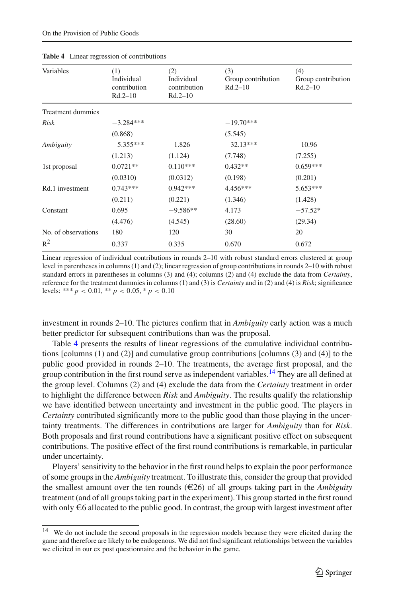<span id="page-10-0"></span>

| Variables           | (1)<br>Individual<br>contribution<br>$Rd.2-10$ | (2)<br>Individual<br>contribution<br>$Rd.2-10$ | (3)<br>Group contribution<br>$Rd.2-10$ | (4)<br>Group contribution<br>$Rd.2-10$ |
|---------------------|------------------------------------------------|------------------------------------------------|----------------------------------------|----------------------------------------|
| Treatment dummies   |                                                |                                                |                                        |                                        |
| Risk                | $-3.284***$                                    |                                                | $-19.70***$                            |                                        |
|                     | (0.868)                                        |                                                | (5.545)                                |                                        |
| Ambiguity           | $-5.355***$                                    | $-1.826$                                       | $-32.13***$                            | $-10.96$                               |
|                     | (1.213)                                        | (1.124)                                        | (7.748)                                | (7.255)                                |
| 1st proposal        | $0.0721**$                                     | $0.110***$                                     | $0.432**$                              | $0.659***$                             |
|                     | (0.0310)                                       | (0.0312)                                       | (0.198)                                | (0.201)                                |
| Rd.1 investment     | $0.743***$                                     | $0.942***$                                     | $4.456***$                             | $5.653***$                             |
|                     | (0.211)                                        | (0.221)                                        | (1.346)                                | (1.428)                                |
| Constant            | 0.695                                          | $-9.586**$                                     | 4.173                                  | $-57.52*$                              |
|                     | (4.476)                                        | (4.545)                                        | (28.60)                                | (29.34)                                |
| No. of observations | 180                                            | 120                                            | 30                                     | 20                                     |
| $R^2$               | 0.337                                          | 0.335                                          | 0.670                                  | 0.672                                  |

**Table 4** Linear regression of contributions

Linear regression of individual contributions in rounds 2–10 with robust standard errors clustered at group level in parentheses in columns (1) and (2); linear regression of group contributions in rounds 2–10 with robust standard errors in parentheses in columns (3) and (4); columns (2) and (4) exclude the data from *Certainty*, reference for the treatment dummies in columns (1) and (3) is *Certainty* and in (2) and (4) is *Risk*; significance levels: \*\*\*  $p < 0.01$ , \*\*  $p < 0.05$ , \*  $p < 0.10$ 

investment in rounds 2–10. The pictures confirm that in *Ambiguity* early action was a much better predictor for subsequent contributions than was the proposal.

Table [4](#page-10-0) presents the results of linear regressions of the cumulative individual contributions [columns  $(1)$  and  $(2)$ ] and cumulative group contributions [columns  $(3)$  and  $(4)$ ] to the public good provided in rounds 2–10. The treatments, the average first proposal, and the group contribution in the first round serve as independent variables.<sup>[14](#page-10-1)</sup> They are all defined at the group level. Columns (2) and (4) exclude the data from the *Certainty* treatment in order to highlight the difference between *Risk* and *Ambiguity*. The results qualify the relationship we have identified between uncertainty and investment in the public good. The players in *Certainty* contributed significantly more to the public good than those playing in the uncertainty treatments. The differences in contributions are larger for *Ambiguity* than for *Risk*. Both proposals and first round contributions have a significant positive effect on subsequent contributions. The positive effect of the first round contributions is remarkable, in particular under uncertainty.

Players' sensitivity to the behavior in the first round helps to explain the poor performance of some groups in the *Ambiguity* treatment. To illustrate this, consider the group that provided the smallest amount over the ten rounds  $(\epsilon 26)$  of all groups taking part in the *Ambiguity* treatment (and of all groups taking part in the experiment). This group started in the first round with only  $\epsilon$ 6 allocated to the public good. In contrast, the group with largest investment after

<span id="page-10-1"></span><sup>14</sup> We do not include the second proposals in the regression models because they were elicited during the game and therefore are likely to be endogenous. We did not find significant relationships between the variables we elicited in our ex post questionnaire and the behavior in the game.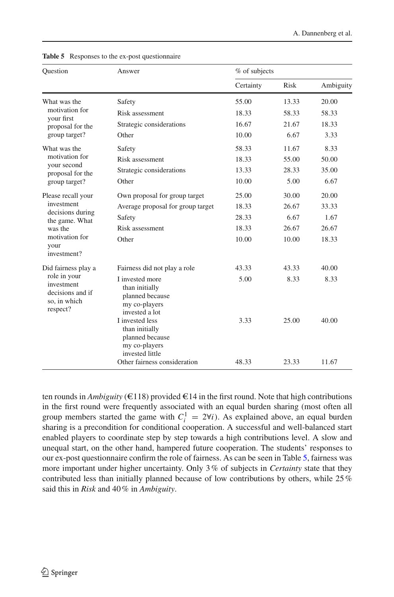<span id="page-11-0"></span>

| Question                                                                                                                                                                                                                                                                                              | Answer                                                                                   | % of subjects |             |           |
|-------------------------------------------------------------------------------------------------------------------------------------------------------------------------------------------------------------------------------------------------------------------------------------------------------|------------------------------------------------------------------------------------------|---------------|-------------|-----------|
|                                                                                                                                                                                                                                                                                                       |                                                                                          | Certainty     | <b>Risk</b> | Ambiguity |
| What was the<br>motivation for<br>your first<br>proposal for the                                                                                                                                                                                                                                      | Safety                                                                                   | 55.00         | 13.33       | 20.00     |
|                                                                                                                                                                                                                                                                                                       | Risk assessment                                                                          | 18.33         | 58.33       | 58.33     |
|                                                                                                                                                                                                                                                                                                       | Strategic considerations                                                                 | 16.67         | 21.67       | 18.33     |
| group target?                                                                                                                                                                                                                                                                                         | Other                                                                                    | 10.00         | 6.67        | 3.33      |
| What was the                                                                                                                                                                                                                                                                                          | Safety                                                                                   | 58.33         | 11.67       | 8.33      |
| motivation for<br>your second<br>proposal for the<br>Other<br>group target?<br>Please recall your<br>investment<br>decisions during<br>Safety<br>the game. What<br>was the<br>motivation for<br>Other<br>your<br>investment?<br>Did fairness play a<br>role in your<br>investment<br>decisions and if | Risk assessment                                                                          | 18.33         | 55.00       | 50.00     |
|                                                                                                                                                                                                                                                                                                       | Strategic considerations                                                                 | 13.33         | 28.33       | 35.00     |
|                                                                                                                                                                                                                                                                                                       |                                                                                          | 10.00         | 5.00        | 6.67      |
|                                                                                                                                                                                                                                                                                                       | Own proposal for group target                                                            | 25.00         | 30.00       | 20.00     |
|                                                                                                                                                                                                                                                                                                       | Average proposal for group target                                                        | 18.33         | 26.67       | 33.33     |
|                                                                                                                                                                                                                                                                                                       |                                                                                          | 28.33         | 6.67        | 1.67      |
|                                                                                                                                                                                                                                                                                                       | Risk assessment                                                                          | 18.33         | 26.67       | 26.67     |
|                                                                                                                                                                                                                                                                                                       |                                                                                          | 10.00         | 10.00       | 18.33     |
|                                                                                                                                                                                                                                                                                                       | Fairness did not play a role                                                             | 43.33         | 43.33       | 40.00     |
| so, in which<br>respect?                                                                                                                                                                                                                                                                              | I invested more<br>than initially<br>planned because<br>my co-players<br>invested a lot  | 5.00          | 8.33        | 8.33      |
|                                                                                                                                                                                                                                                                                                       | I invested less<br>than initially<br>planned because<br>my co-players<br>invested little | 3.33          | 25.00       | 40.00     |
|                                                                                                                                                                                                                                                                                                       | Other fairness consideration                                                             | 48.33         | 23.33       | 11.67     |

**Table 5** Responses to the ex-post questionnaire

ten rounds in *Ambiguity* ( $\epsilon$ 118) provided  $\epsilon$ 14 in the first round. Note that high contributions in the first round were frequently associated with an equal burden sharing (most often all group members started the game with  $C_i^1 = 2\forall i$ . As explained above, an equal burden sharing is a precondition for conditional cooperation. A successful and well-balanced start enabled players to coordinate step by step towards a high contributions level. A slow and unequal start, on the other hand, hampered future cooperation. The students' responses to our ex-post questionnaire confirm the role of fairness. As can be seen in Table [5,](#page-11-0) fairness was more important under higher uncertainty. Only 3 % of subjects in *Certainty* state that they contributed less than initially planned because of low contributions by others, while 25 % said this in *Risk* and 40 % in *Ambiguity*.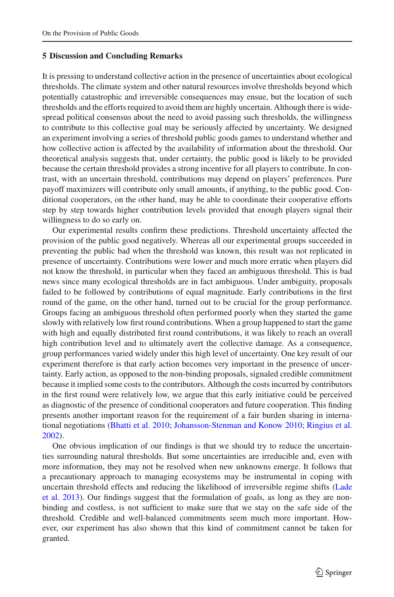#### **5 Discussion and Concluding Remarks**

It is pressing to understand collective action in the presence of uncertainties about ecological thresholds. The climate system and other natural resources involve thresholds beyond which potentially catastrophic and irreversible consequences may ensue, but the location of such thresholds and the efforts required to avoid them are highly uncertain. Although there is widespread political consensus about the need to avoid passing such thresholds, the willingness to contribute to this collective goal may be seriously affected by uncertainty. We designed an experiment involving a series of threshold public goods games to understand whether and how collective action is affected by the availability of information about the threshold. Our theoretical analysis suggests that, under certainty, the public good is likely to be provided because the certain threshold provides a strong incentive for all players to contribute. In contrast, with an uncertain threshold, contributions may depend on players' preferences. Pure payoff maximizers will contribute only small amounts, if anything, to the public good. Conditional cooperators, on the other hand, may be able to coordinate their cooperative efforts step by step towards higher contribution levels provided that enough players signal their willingness to do so early on.

Our experimental results confirm these predictions. Threshold uncertainty affected the provision of the public good negatively. Whereas all our experimental groups succeeded in preventing the public bad when the threshold was known, this result was not replicated in presence of uncertainty. Contributions were lower and much more erratic when players did not know the threshold, in particular when they faced an ambiguous threshold. This is bad news since many ecological thresholds are in fact ambiguous. Under ambiguity, proposals failed to be followed by contributions of equal magnitude. Early contributions in the first round of the game, on the other hand, turned out to be crucial for the group performance. Groups facing an ambiguous threshold often performed poorly when they started the game slowly with relatively low first round contributions. When a group happened to start the game with high and equally distributed first round contributions, it was likely to reach an overall high contribution level and to ultimately avert the collective damage. As a consequence, group performances varied widely under this high level of uncertainty. One key result of our experiment therefore is that early action becomes very important in the presence of uncertainty. Early action, as opposed to the non-binding proposals, signaled credible commitment because it implied some costs to the contributors. Although the costs incurred by contributors in the first round were relatively low, we argue that this early initiative could be perceived as diagnostic of the presence of conditional cooperators and future cooperation. This finding presents another important reason for the requirement of a fair burden sharing in international negotiations [\(Bhatti et al. 2010](#page-17-23); [Johansson-Stenman and Konow 2010](#page-17-24); [Ringius et al.](#page-18-18) [2002](#page-18-18)).

One obvious implication of our findings is that we should try to reduce the uncertainties surrounding natural thresholds. But some uncertainties are irreducible and, even with more information, they may not be resolved when new unknowns emerge. It follows that a precautionary approach to managing ecosystems may be instrumental in coping with unce[rtain threshold effects and reducing the likelihood of irreversible regime shifts \(](#page-18-19)Lade et al. [2013\)](#page-18-19). Our findings suggest that the formulation of goals, as long as they are nonbinding and costless, is not sufficient to make sure that we stay on the safe side of the threshold. Credible and well-balanced commitments seem much more important. However, our experiment has also shown that this kind of commitment cannot be taken for granted.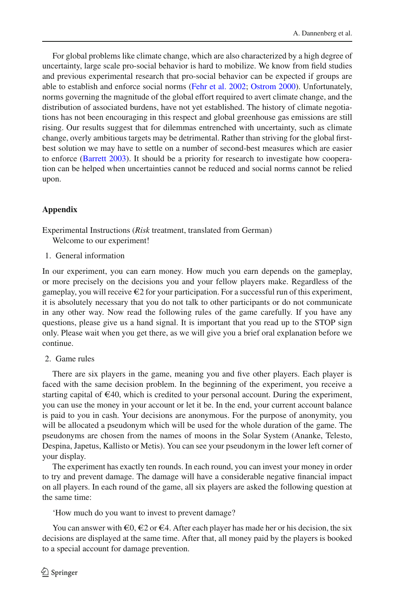For global problems like climate change, which are also characterized by a high degree of uncertainty, large scale pro-social behavior is hard to mobilize. We know from field studies and previous experimental research that pro-social behavior can be expected if groups are able to establish and enforce social norms [\(Fehr et al. 2002](#page-17-25); [Ostrom 2000\)](#page-18-20). Unfortunately, norms governing the magnitude of the global effort required to avert climate change, and the distribution of associated burdens, have not yet established. The history of climate negotiations has not been encouraging in this respect and global greenhouse gas emissions are still rising. Our results suggest that for dilemmas entrenched with uncertainty, such as climate change, overly ambitious targets may be detrimental. Rather than striving for the global firstbest solution we may have to settle on a number of second-best measures which are easier to enforce [\(Barrett 2003\)](#page-17-26). It should be a priority for research to investigate how cooperation can be helped when uncertainties cannot be reduced and social norms cannot be relied upon.

## **Appendix**

Experimental Instructions (*Risk* treatment, translated from German)

Welcome to our experiment!

1. General information

In our experiment, you can earn money. How much you earn depends on the gameplay, or more precisely on the decisions you and your fellow players make. Regardless of the gameplay, you will receive  $\epsilon_2$  for your participation. For a successful run of this experiment, it is absolutely necessary that you do not talk to other participants or do not communicate in any other way. Now read the following rules of the game carefully. If you have any questions, please give us a hand signal. It is important that you read up to the STOP sign only. Please wait when you get there, as we will give you a brief oral explanation before we continue.

2. Game rules

There are six players in the game, meaning you and five other players. Each player is faced with the same decision problem. In the beginning of the experiment, you receive a starting capital of  $\epsilon$ 40, which is credited to your personal account. During the experiment, you can use the money in your account or let it be. In the end, your current account balance is paid to you in cash. Your decisions are anonymous. For the purpose of anonymity, you will be allocated a pseudonym which will be used for the whole duration of the game. The pseudonyms are chosen from the names of moons in the Solar System (Ananke, Telesto, Despina, Japetus, Kallisto or Metis). You can see your pseudonym in the lower left corner of your display.

The experiment has exactly ten rounds. In each round, you can invest your money in order to try and prevent damage. The damage will have a considerable negative financial impact on all players. In each round of the game, all six players are asked the following question at the same time:

'How much do you want to invest to prevent damage?

You can answer with  $\epsilon_0, \epsilon_2$  or  $\epsilon_4$ . After each player has made her or his decision, the six decisions are displayed at the same time. After that, all money paid by the players is booked to a special account for damage prevention.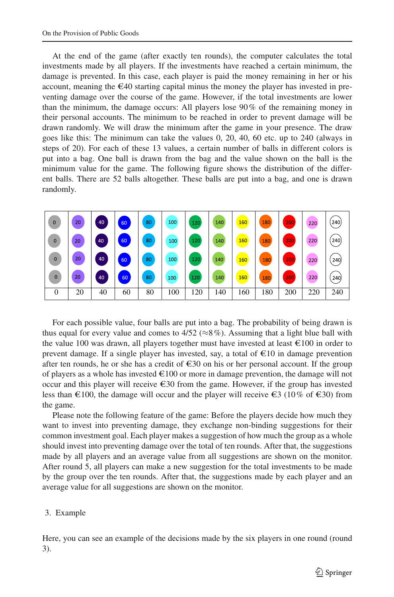At the end of the game (after exactly ten rounds), the computer calculates the total investments made by all players. If the investments have reached a certain minimum, the damage is prevented. In this case, each player is paid the money remaining in her or his account, meaning the  $\epsilon$ 40 starting capital minus the money the player has invested in preventing damage over the course of the game. However, if the total investments are lower than the minimum, the damage occurs: All players lose 90 % of the remaining money in their personal accounts. The minimum to be reached in order to prevent damage will be drawn randomly. We will draw the minimum after the game in your presence. The draw goes like this: The minimum can take the values 0, 20, 40, 60 etc. up to 240 (always in steps of 20). For each of these 13 values, a certain number of balls in different colors is put into a bag. One ball is drawn from the bag and the value shown on the ball is the minimum value for the game. The following figure shows the distribution of the different balls. There are 52 balls altogether. These balls are put into a bag, and one is drawn randomly.

| $\mathbf 0$  | 20 | 40 | 60 | 80 | 100 | 120 | 140 | 160        | 180 | 200 | 220 | (240) |
|--------------|----|----|----|----|-----|-----|-----|------------|-----|-----|-----|-------|
| $\mathbf 0$  | 20 | 40 | 60 | 80 | 100 | 120 | 140 | 160        | 180 | 200 | 220 | (240) |
| $\mathbf{0}$ | 20 | 40 | 60 | 80 | 100 | 120 | 140 | <b>160</b> | 180 | 200 | 220 | 240)  |
| $\mathbf{0}$ | 20 | 40 | 60 | 80 | 100 | 120 | 140 | 160        | 180 | 200 | 220 | 240)  |
| 0            | 20 | 40 | 60 | 80 | 100 | 120 | 140 | 160        | 180 | 200 | 220 | 240   |

For each possible value, four balls are put into a bag. The probability of being drawn is thus equal for every value and comes to  $4/52 \approx 8\%$ ). Assuming that a light blue ball with the value 100 was drawn, all players together must have invested at least  $\epsilon$ 100 in order to prevent damage. If a single player has invested, say, a total of  $\epsilon$ 10 in damage prevention after ten rounds, he or she has a credit of  $\epsilon$ 30 on his or her personal account. If the group of players as a whole has invested  $\epsilon$ 100 or more in damage prevention, the damage will not occur and this player will receive  $\epsilon$ 30 from the game. However, if the group has invested less than  $\epsilon$ 100, the damage will occur and the player will receive  $\epsilon$ 3 (10% of  $\epsilon$ 30) from the game.

Please note the following feature of the game: Before the players decide how much they want to invest into preventing damage, they exchange non-binding suggestions for their common investment goal. Each player makes a suggestion of how much the group as a whole should invest into preventing damage over the total of ten rounds. After that, the suggestions made by all players and an average value from all suggestions are shown on the monitor. After round 5, all players can make a new suggestion for the total investments to be made by the group over the ten rounds. After that, the suggestions made by each player and an average value for all suggestions are shown on the monitor.

## 3. Example

Here, you can see an example of the decisions made by the six players in one round (round 3).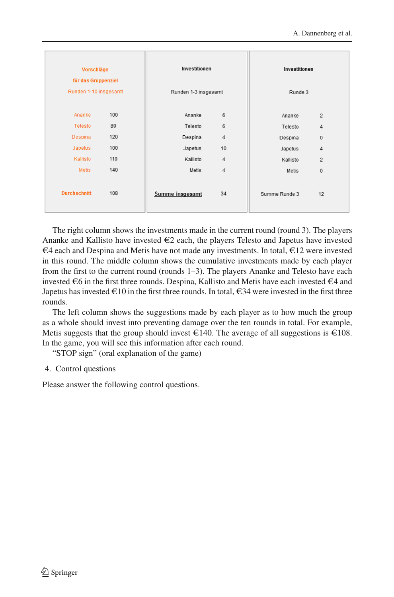| Vorschläge<br>für das Gruppenziel<br>Runden 1-10 insgesamt |     | Investitionen<br>Runden 1-3 insgesamt |                | Investitionen<br>Runde 3   |  |  |
|------------------------------------------------------------|-----|---------------------------------------|----------------|----------------------------|--|--|
| Ananke                                                     | 100 | Ananke                                | 6              | $\overline{2}$<br>Ananke   |  |  |
| <b>Telesto</b>                                             | 80  | Telesto                               | 6              | Telesto<br>4               |  |  |
| Despina                                                    | 120 | Despina                               | 4              | $\mathbf{0}$<br>Despina    |  |  |
| Japetus                                                    | 100 | Japetus                               | 10             | Japetus<br>$\overline{4}$  |  |  |
| Kallisto                                                   | 110 | Kallisto                              | $\overline{4}$ | $\overline{2}$<br>Kallisto |  |  |
| <b>Metis</b>                                               | 140 | Metis                                 | $\overline{4}$ | Metis<br>$\mathbf{0}$      |  |  |
| <b>Durchschnitt</b>                                        | 108 | Summe insgesamt                       | 34             | 12<br>Summe Runde 3        |  |  |

The right column shows the investments made in the current round (round 3). The players Ananke and Kallisto have invested  $\epsilon$ 2 each, the players Telesto and Japetus have invested  $\epsilon$ 4 each and Despina and Metis have not made any investments. In total,  $\epsilon$ 12 were invested in this round. The middle column shows the cumulative investments made by each player from the first to the current round (rounds 1–3). The players Ananke and Telesto have each invested  $\epsilon$ 6 in the first three rounds. Despina, Kallisto and Metis have each invested  $\epsilon$ 4 and Japetus has invested  $\in$  10 in the first three rounds. In total,  $\in$  34 were invested in the first three rounds.

The left column shows the suggestions made by each player as to how much the group as a whole should invest into preventing damage over the ten rounds in total. For example, Metis suggests that the group should invest  $\epsilon$ 140. The average of all suggestions is  $\epsilon$ 108. In the game, you will see this information after each round.

"STOP sign" (oral explanation of the game)

## 4. Control questions

Please answer the following control questions.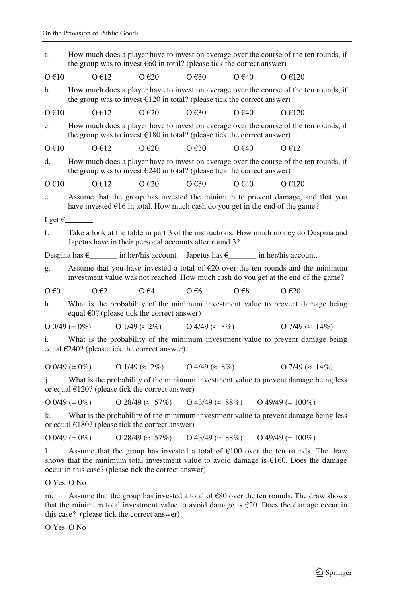| a.                                                                                                                                                                                                                                                           | How much does a player have to invest on average over the course of the ten rounds, if<br>the group was to invest $\epsilon$ 60 in total? (please tick the correct answer) |                                                                                |                                               |                                            |                                                                                                                                                                                  |  |  |  |
|--------------------------------------------------------------------------------------------------------------------------------------------------------------------------------------------------------------------------------------------------------------|----------------------------------------------------------------------------------------------------------------------------------------------------------------------------|--------------------------------------------------------------------------------|-----------------------------------------------|--------------------------------------------|----------------------------------------------------------------------------------------------------------------------------------------------------------------------------------|--|--|--|
| $O \in 10$                                                                                                                                                                                                                                                   | O $E12$                                                                                                                                                                    | O €20                                                                          | $O \epsilon 30$                               | $O \in 40$                                 | $O \in 120$                                                                                                                                                                      |  |  |  |
| b.                                                                                                                                                                                                                                                           | How much does a player have to invest on average over the course of the ten rounds, if<br>the group was to invest $E120$ in total? (please tick the correct answer)        |                                                                                |                                               |                                            |                                                                                                                                                                                  |  |  |  |
| $O \in 10$                                                                                                                                                                                                                                                   | $O \in 12$                                                                                                                                                                 | $O \epsilon 20$                                                                | $O \epsilon$ 30                               | $O$ $E40$                                  | $O \in 120$                                                                                                                                                                      |  |  |  |
| c.                                                                                                                                                                                                                                                           | How much does a player have to invest on average over the course of the ten rounds, if<br>the group was to invest $E$ 180 in total? (please tick the correct answer)       |                                                                                |                                               |                                            |                                                                                                                                                                                  |  |  |  |
| $O \in 10$                                                                                                                                                                                                                                                   | O $\epsilon$ 12                                                                                                                                                            | $O \epsilon 20$                                                                | $O \epsilon$ 30                               | $O \epsilon 40$                            | $O \in 12$                                                                                                                                                                       |  |  |  |
| d.                                                                                                                                                                                                                                                           |                                                                                                                                                                            | the group was to invest $E$ 240 in total? (please tick the correct answer)     |                                               |                                            | How much does a player have to invest on average over the course of the ten rounds, if                                                                                           |  |  |  |
| $O \in 10$                                                                                                                                                                                                                                                   | $O \in 12$                                                                                                                                                                 | $O \epsilon 20$                                                                | $O \epsilon 30$                               | $O \epsilon 40$                            | $O \in 120$                                                                                                                                                                      |  |  |  |
| e.                                                                                                                                                                                                                                                           |                                                                                                                                                                            | have invested $E16$ in total. How much cash do you get in the end of the game? |                                               |                                            | Assume that the group has invested the minimum to prevent damage, and that you                                                                                                   |  |  |  |
|                                                                                                                                                                                                                                                              | I get $\epsilon$ ________.                                                                                                                                                 |                                                                                |                                               |                                            |                                                                                                                                                                                  |  |  |  |
| f.                                                                                                                                                                                                                                                           |                                                                                                                                                                            | Japetus have in their personal accounts after round 3?                         |                                               |                                            | Take a look at the table in part 3 of the instructions. How much money do Despina and                                                                                            |  |  |  |
|                                                                                                                                                                                                                                                              |                                                                                                                                                                            | Despina has $\epsilon$ in her/his account.                                     |                                               | Japetus has $\epsilon$ in her/his account. |                                                                                                                                                                                  |  |  |  |
| g.                                                                                                                                                                                                                                                           |                                                                                                                                                                            |                                                                                |                                               |                                            | Assume that you have invested a total of $\epsilon$ 20 over the ten rounds and the minimum<br>investment value was not reached. How much cash do you get at the end of the game? |  |  |  |
| $O \in 0$                                                                                                                                                                                                                                                    | $O \epsilon 2$                                                                                                                                                             | $O \epsilon$ 4                                                                 | O €6                                          | $O \in 8$                                  | $O \epsilon 20$                                                                                                                                                                  |  |  |  |
| h.                                                                                                                                                                                                                                                           |                                                                                                                                                                            | equal $\epsilon$ 0? (please tick the correct answer)                           |                                               |                                            | What is the probability of the minimum investment value to prevent damage being                                                                                                  |  |  |  |
|                                                                                                                                                                                                                                                              | $Q(0/49) = 0\%)$                                                                                                                                                           | O 1/49 ( $\approx$ 2\%)                                                        | O 4/49 ( $\approx 8\%$ )                      |                                            | O 7/49 ( $\approx$ 14%)                                                                                                                                                          |  |  |  |
| $\mathbf{1}$ .                                                                                                                                                                                                                                               |                                                                                                                                                                            | equal $E240$ ? (please tick the correct answer)                                |                                               |                                            | What is the probability of the minimum investment value to prevent damage being                                                                                                  |  |  |  |
|                                                                                                                                                                                                                                                              | $O(0/49) = 0\%)$                                                                                                                                                           | O 1/49 ( $\approx$ 2\%)                                                        | O 4/49 ( $\approx 8\%$ )                      |                                            | O 7/49 ( $\approx$ 14%)                                                                                                                                                          |  |  |  |
| j.                                                                                                                                                                                                                                                           | What is the probability of the minimum investment value to prevent damage being less<br>or equal $E120$ ? (please tick the correct answer)                                 |                                                                                |                                               |                                            |                                                                                                                                                                                  |  |  |  |
|                                                                                                                                                                                                                                                              | O $0/49 (= 0\%)$                                                                                                                                                           | O 28/49 ( $\approx$ 57%)                                                       | $Q$ 43/49 ( $\approx$ 88%) $Q$ 49/49 (= 100%) |                                            |                                                                                                                                                                                  |  |  |  |
| What is the probability of the minimum investment value to prevent damage being less<br>k.<br>or equal $\epsilon$ 180? (please tick the correct answer)                                                                                                      |                                                                                                                                                                            |                                                                                |                                               |                                            |                                                                                                                                                                                  |  |  |  |
|                                                                                                                                                                                                                                                              | $O$ 0/49 (= 0%)                                                                                                                                                            | O 28/49 ( $\approx$ 57%)                                                       | O 43/49 ( $\approx$ 88%)                      |                                            | $Q$ 49/49 (= 100%)                                                                                                                                                               |  |  |  |
| Assume that the group has invested a total of $\epsilon$ 100 over the ten rounds. The draw<br>l.<br>shows that the minimum total investment value to avoid damage is $\epsilon$ 160. Does the damage<br>occur in this case? (please tick the correct answer) |                                                                                                                                                                            |                                                                                |                                               |                                            |                                                                                                                                                                                  |  |  |  |
|                                                                                                                                                                                                                                                              | O Yes O No                                                                                                                                                                 |                                                                                |                                               |                                            |                                                                                                                                                                                  |  |  |  |
| Assume that the group has invested a total of $\epsilon$ 80 over the ten rounds. The draw shows<br>m.<br>that the minimum total investment value to avoid damage is $\epsilon$ 20. Does the damage occur in                                                  |                                                                                                                                                                            |                                                                                |                                               |                                            |                                                                                                                                                                                  |  |  |  |

this case? (please tick the correct answer)

O Yes O No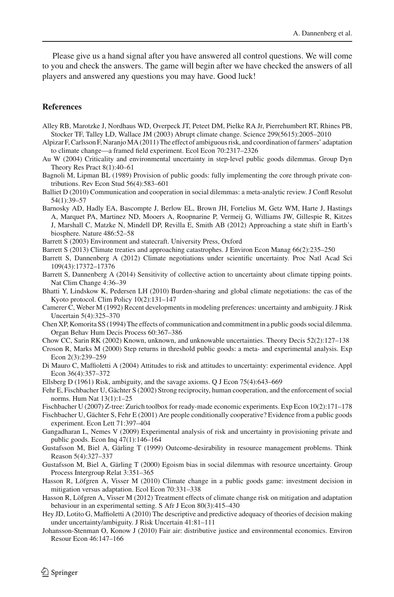Please give us a hand signal after you have answered all control questions. We will come to you and check the answers. The game will begin after we have checked the answers of all players and answered any questions you may have. Good luck!

#### **References**

- <span id="page-17-1"></span>Alley RB, Marotzke J, Nordhaus WD, Overpeck JT, Peteet DM, Pielke RA Jr, Pierrehumbert RT, Rhines PB, Stocker TF, Talley LD, Wallace JM (2003) Abrupt climate change. Science 299(5615):2005–2010
- <span id="page-17-13"></span>Alpizar F, Carlsson F, Naranjo MA (2011) The effect of ambiguous risk, and coordination of farmers' adaptation to climate change—a framed field experiment. Ecol Econ 70:2317–2326
- <span id="page-17-5"></span>Au W (2004) Criticality and environmental uncertainty in step-level public goods dilemmas. Group Dyn Theory Res Pract 8(1):40–61
- <span id="page-17-3"></span>Bagnoli M, Lipman BL (1989) Provision of public goods: fully implementing the core through private contributions. Rev Econ Stud 56(4):583–601
- <span id="page-17-17"></span>Balliet D (2010) Communication and cooperation in social dilemmas: a meta-analytic review. J Confl Resolut 54(1):39–57
- <span id="page-17-0"></span>Barnosky AD, Hadly EA, Bascompte J, Berlow EL, Brown JH, Fortelius M, Getz WM, Harte J, Hastings A, Marquet PA, Martinez ND, Mooers A, Roopnarine P, Vermeij G, Williams JW, Gillespie R, Kitzes J, Marshall C, Matzke N, Mindell DP, Revilla E, Smith AB (2012) Approaching a state shift in Earth's biosphere. Nature 486:52–58
- <span id="page-17-26"></span>Barrett S (2003) Environment and statecraft. University Press, Oxford
- <span id="page-17-4"></span>Barrett S (2013) Climate treaties and approaching catastrophes. J Environ Econ Manag 66(2):235–250
- <span id="page-17-9"></span>Barrett S, Dannenberg A (2012) Climate negotiations under scientific uncertainty. Proc Natl Acad Sci 109(43):17372–17376
- <span id="page-17-10"></span>Barrett S, Dannenberg A (2014) Sensitivity of collective action to uncertainty about climate tipping points. Nat Clim Change 4:36–39
- <span id="page-17-23"></span>Bhatti Y, Lindskow K, Pedersen LH (2010) Burden-sharing and global climate negotiations: the cas of the Kyoto protocol. Clim Policy 10(2):131–147
- <span id="page-17-12"></span>Camerer C, Weber M (1992) Recent developments in modeling preferences: uncertainty and ambiguity. J Risk Uncertain 5(4):325–370
- <span id="page-17-22"></span>Chen XP, Komorita SS (1994) The effects of communication and commitment in a public goods social dilemma. Organ Behav Hum Decis Process 60:367–386
- <span id="page-17-20"></span>Chow CC, Sarin RK (2002) Known, unknown, and unknowable uncertainties. Theory Decis 52(2):127–138
- <span id="page-17-2"></span>Croson R, Marks M (2000) Step returns in threshold public goods: a meta- and experimental analysis. Exp Econ 2(3):239–259
- <span id="page-17-16"></span>Di Mauro C, Maffioletti A (2004) Attitudes to risk and attitudes to uncertainty: experimental evidence. Appl Econ 36(4):357–372
- <span id="page-17-11"></span>Ellsberg D (1961) Risk, ambiguity, and the savage axioms. Q J Econ 75(4):643–669
- <span id="page-17-25"></span>Fehr E, Fischbacher U, Gächter S (2002) Strong reciprocity, human cooperation, and the enforcement of social norms. Hum Nat 13(1):1–25
- <span id="page-17-18"></span>Fischbacher U (2007) Z-tree: Zurich toolbox for ready-made economic experiments. Exp Econ 10(2):171–178
- <span id="page-17-21"></span>Fischbacher U, Gächter S, Fehr E (2001) Are people conditionally cooperative? Evidence from a public goods experiment. Econ Lett 71:397–404
- <span id="page-17-8"></span>Gangadharan L, Nemes V (2009) Experimental analysis of risk and uncertainty in provisioning private and public goods. Econ Inq 47(1):146–164
- <span id="page-17-6"></span>Gustafsson M, Biel A, Gärling T (1999) Outcome-desirability in resource management problems. Think Reason 5(4):327–337
- <span id="page-17-7"></span>Gustafsson M, Biel A, Gärling T (2000) Egoism bias in social dilemmas with resource uncertainty. Group Process Intergroup Relat 3:351–365
- <span id="page-17-14"></span>Hasson R, Löfgren A, Visser M (2010) Climate change in a public goods game: investment decision in mitigation versus adaptation. Ecol Econ 70:331–338
- <span id="page-17-15"></span>Hasson R, Löfgren A, Visser M (2012) Treatment effects of climate change risk on mitigation and adaptation behaviour in an experimental setting. S Afr J Econ 80(3):415–430
- <span id="page-17-19"></span>Hey JD, Lotito G, Maffioletti A (2010) The descriptive and predictive adequacy of theories of decision making under uncertainty/ambiguity. J Risk Uncertain 41:81–111
- <span id="page-17-24"></span>Johansson-Stenman O, Konow J (2010) Fair air: distributive justice and environmental economics. Environ Resour Econ 46:147–166